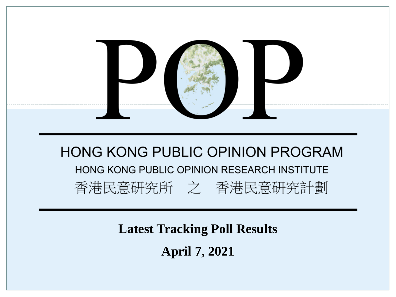

**Latest Tracking Poll Results**

**April 7, 2021**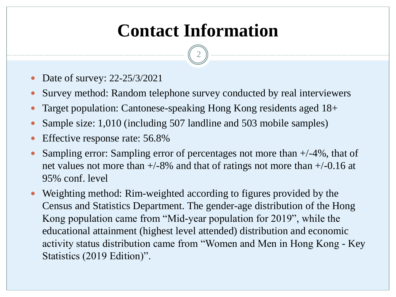# **Contact Information**

2

- Date of survey: 22-25/3/2021
- Survey method: Random telephone survey conducted by real interviewers
- Target population: Cantonese-speaking Hong Kong residents aged 18+
- Sample size: 1,010 (including 507 landline and 503 mobile samples)
- Effective response rate: 56.8%
- Sampling error: Sampling error of percentages not more than +/-4%, that of net values not more than  $+/-8\%$  and that of ratings not more than  $+/-0.16$  at 95% conf. level
- Weighting method: Rim-weighted according to figures provided by the Census and Statistics Department. The gender-age distribution of the Hong Kong population came from "Mid-year population for 2019", while the educational attainment (highest level attended) distribution and economic activity status distribution came from "Women and Men in Hong Kong - Key Statistics (2019 Edition)".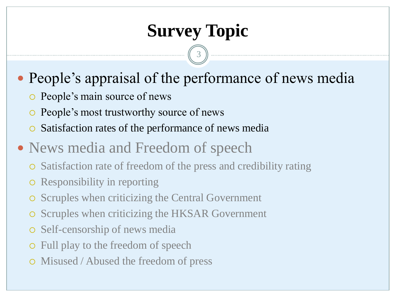# **Survey Topic**

3

• People's appraisal of the performance of news media

- People's main source of news
- People's most trustworthy source of news
- Satisfaction rates of the performance of news media
- News media and Freedom of speech
	- Satisfaction rate of freedom of the press and credibility rating
	- Responsibility in reporting
	- Scruples when criticizing the Central Government
	- Scruples when criticizing the HKSAR Government
	- Self-censorship of news media
	- Full play to the freedom of speech
	- Misused / Abused the freedom of press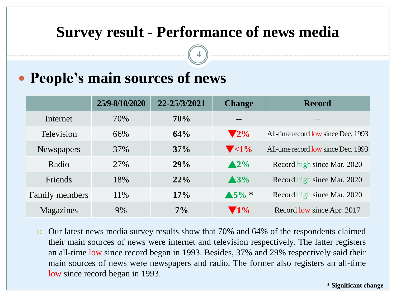### **Survey result - Performance of news media**

4

### **People's main sources of news**

|                   | 25/9-8/10/2020 | 22-25/3/2021 | <b>Change</b>             | <b>Record</b>                       |
|-------------------|----------------|--------------|---------------------------|-------------------------------------|
| Internet          | 70%            | 70%          | --                        | $ -$                                |
| Television        | 66%            | 64%          | $\blacktriangledown 2\%$  | All-time record low since Dec. 1993 |
| <b>Newspapers</b> | 37%            | 37%          | $\blacktriangledown$ < 1% | All-time record low since Dec. 1993 |
| Radio             | 27%            | 29%          | $\triangle 2\%$           | Record high since Mar. 2020         |
| Friends           | 18%            | 22%          | $\triangle 3\%$           | Record high since Mar. 2020         |
| Family members    | 11\%           | 17%          | $\triangle 5\%$ *         | Record high since Mar. 2020         |
| Magazines         | 9%             | $7\%$        | $\blacktriangledown$ 1%   | Record low since Apr. 2017          |

 Our latest news media survey results show that 70% and 64% of the respondents claimed their main sources of news were internet and television respectively. The latter registers an all-time low since record began in 1993. Besides, 37% and 29% respectively said their main sources of news were newspapers and radio. The former also registers an all-time low since record began in 1993.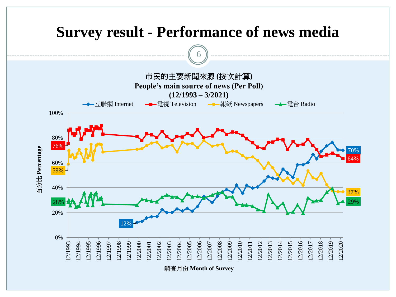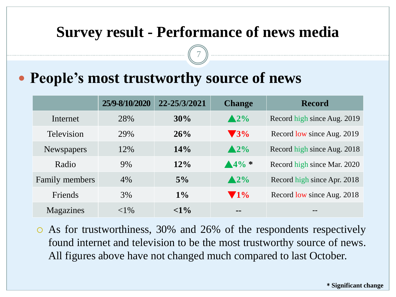### **Survey result - Performance of news media**

7

#### **People's most trustworthy source of news**

|                   | 25/9-8/10/2020 | 22-25/3/2021 | <b>Change</b>           | <b>Record</b>               |
|-------------------|----------------|--------------|-------------------------|-----------------------------|
| Internet          | 28%            | 30%          | $\triangle 2\%$         | Record high since Aug. 2019 |
| Television        | 29%            | 26%          | $\blacktriangledown$ 3% | Record low since Aug. 2019  |
| <b>Newspapers</b> | 12%            | 14%          | $\triangle 2\%$         | Record high since Aug. 2018 |
| Radio             | 9%             | $12\%$       | $4\frac{9}{6}$ *        | Record high since Mar. 2020 |
| Family members    | 4%             | 5%           | $\triangle 2\%$         | Record high since Apr. 2018 |
| Friends           | 3%             | $1\%$        | $\blacktriangledown$ 1% | Record low since Aug. 2018  |
| Magazines         | ${<}1\%$       | $< 1\%$      | --                      | --                          |

 As for trustworthiness, 30% and 26% of the respondents respectively found internet and television to be the most trustworthy source of news. All figures above have not changed much compared to last October.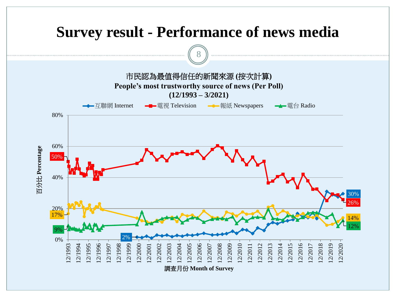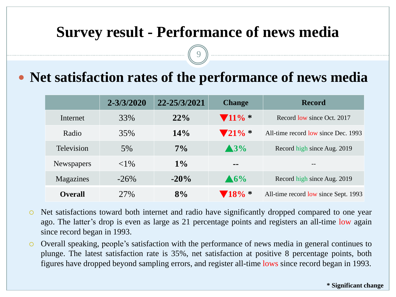### **Survey result - Performance of news media**

9

#### **Net satisfaction rates of the performance of news media**

|                   | 2-3/3/2020 | 22-25/3/2021 | <b>Change</b>               | <b>Record</b>                        |
|-------------------|------------|--------------|-----------------------------|--------------------------------------|
| Internet          | 33%        | 22%          | $\blacktriangledown 11\%$ * | Record low since Oct. 2017           |
| Radio             | 35%        | 14%          | $\mathbf{V}21\%$ *          | All-time record low since Dec. 1993  |
| <b>Television</b> | 5%         | $7\%$        | $\blacktriangle 3\%$        | Record high since Aug. 2019          |
| Newspapers        | ${<}1\%$   | $1\%$        | $=$ $-$                     |                                      |
| Magazines         | $-26\%$    | $-20\%$      | $\triangle 6\%$             | Record high since Aug. 2019          |
| <b>Overall</b>    | 27%        | 8%           | $18\% *$                    | All-time record low since Sept. 1993 |

- Net satisfactions toward both internet and radio have significantly dropped compared to one year ago. The latter's drop is even as large as 21 percentage points and registers an all-time low again since record began in 1993.
- Overall speaking, people's satisfaction with the performance of news media in general continues to plunge. The latest satisfaction rate is 35%, net satisfaction at positive 8 percentage points, both figures have dropped beyond sampling errors, and register all-time lows since record began in 1993.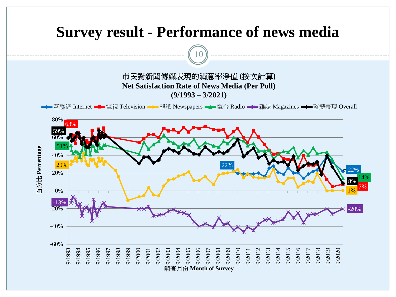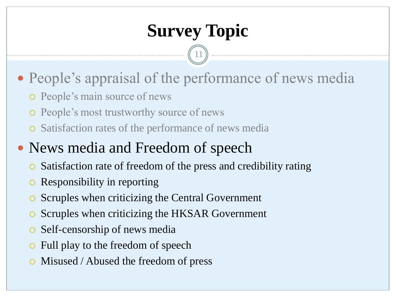# **Survey Topic**

11

- People's appraisal of the performance of news media
	- People's main source of news
	- People's most trustworthy source of news
	- Satisfaction rates of the performance of news media

## • News media and Freedom of speech

- Satisfaction rate of freedom of the press and credibility rating
- Responsibility in reporting
- **Scruples when criticizing the Central Government**
- Scruples when criticizing the HKSAR Government
- Self-censorship of news media
- Full play to the freedom of speech
- Misused / Abused the freedom of press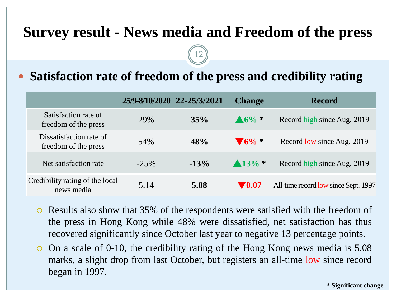12

#### **Satisfaction rate of freedom of the press and credibility rating**

|                                                 | 25/9-8/10/2020 22-25/3/2021 |        | <b>Change</b>             | <b>Record</b>                        |
|-------------------------------------------------|-----------------------------|--------|---------------------------|--------------------------------------|
| Satisfaction rate of<br>freedom of the press    | 29%                         | 35%    | $\triangle 6\% *$         | Record high since Aug. 2019          |
| Dissatisfaction rate of<br>freedom of the press | 54%                         | 48%    | $\sqrt{6\%}$ *            | Record low since Aug. 2019           |
| Net satisfaction rate                           | $-25\%$                     | $-13%$ | $\triangle 13\%$ *        | Record high since Aug. 2019          |
| Credibility rating of the local<br>news media   | 5.14                        | 5.08   | $\blacktriangledown 0.07$ | All-time record low since Sept. 1997 |

- Results also show that 35% of the respondents were satisfied with the freedom of the press in Hong Kong while 48% were dissatisfied, net satisfaction has thus recovered significantly since October last year to negative 13 percentage points.
- On a scale of 0-10, the credibility rating of the Hong Kong news media is 5.08 marks, a slight drop from last October, but registers an all-time low since record began in 1997.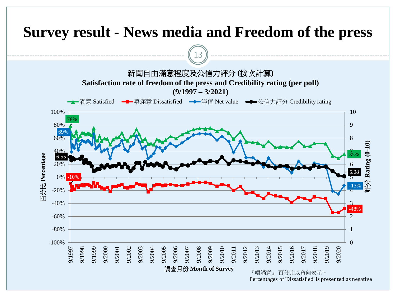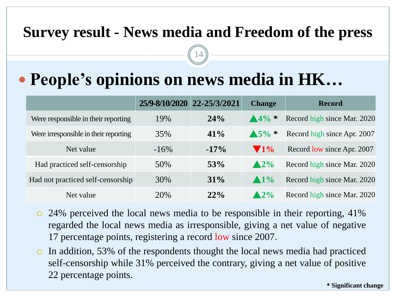14

# **People's opinions on news media in HK…**

|                                       | 25/9-8/10/2020 22-25/3/2021 |         | <b>Change</b>           | <b>Record</b>               |
|---------------------------------------|-----------------------------|---------|-------------------------|-----------------------------|
| Were responsible in their reporting   | 19%                         | 24%     | $\triangle 4\% *$       | Record high since Mar. 2020 |
| Were irresponsible in their reporting | 35%                         | $41\%$  | $\triangle 5\% *$       | Record high since Apr. 2007 |
| Net value                             | $-16\%$                     | $-17\%$ | $\blacktriangledown$ 1% | Record low since Apr. 2007  |
| Had practiced self-censorship         | 50%                         | 53%     | $\triangle 2\%$         | Record high since Mar. 2020 |
| Had not practiced self-censorship     | 30%                         | $31\%$  | $\blacktriangle$ 1%     | Record high since Mar. 2020 |
| Net value                             | 20%                         | 22%     | $\triangle 2\%$         | Record high since Mar. 2020 |

- 24% perceived the local news media to be responsible in their reporting, 41% regarded the local news media as irresponsible, giving a net value of negative 17 percentage points, registering a record low since 2007.
- In addition, 53% of the respondents thought the local news media had practiced self-censorship while 31% perceived the contrary, giving a net value of positive 22 percentage points.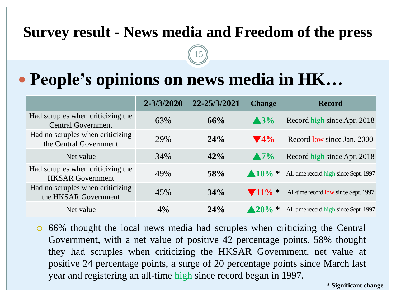15

# **People's opinions on news media in HK…**

|                                                                | 2-3/3/2020 | 22-25/3/2021 | <b>Change</b>               | <b>Record</b>                         |
|----------------------------------------------------------------|------------|--------------|-----------------------------|---------------------------------------|
| Had scruples when criticizing the<br><b>Central Government</b> | 63%        | 66%          | $\blacktriangle$ 3%         | Record high since Apr. 2018           |
| Had no scruples when criticizing<br>the Central Government     | 29%        | 24%          | $\blacktriangledown$ 4%     | Record low since Jan. 2000            |
| Net value                                                      | 34%        | 42%          | $\triangle 7\%$             | Record high since Apr. 2018           |
| Had scruples when criticizing the<br><b>HKSAR</b> Government   | 49%        | <b>58%</b>   | $\triangle 10\%$ *          | All-time record high since Sept. 1997 |
| Had no scruples when criticizing<br>the HKSAR Government       | 45%        | 34%          | $\blacktriangledown 11\%$ * | All-time record low since Sept. 1997  |
| Net value                                                      | 4%         | 24%          | $\frac{120\%}{ }$ *         | All-time record high since Sept. 1997 |

 66% thought the local news media had scruples when criticizing the Central Government, with a net value of positive 42 percentage points. 58% thought they had scruples when criticizing the HKSAR Government, net value at positive 24 percentage points, a surge of 20 percentage points since March last year and registering an all-time high since record began in 1997.

\* **Significant change**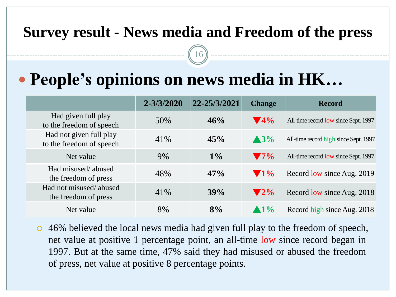16

# **People's opinions on news media in HK…**

|                                                     | $2 - 3/3/2020$ | 22-25/3/2021 | <b>Change</b>            | <b>Record</b>                         |
|-----------------------------------------------------|----------------|--------------|--------------------------|---------------------------------------|
| Had given full play<br>to the freedom of speech     | 50%            | 46%          | $\blacktriangledown$ 4%  | All-time record low since Sept. 1997  |
| Had not given full play<br>to the freedom of speech | 41%            | 45%          | $\blacktriangle$ 3%      | All-time record high since Sept. 1997 |
| Net value                                           | 9%             | $1\%$        | $\blacktriangledown$ 7%  | All-time record low since Sept. 1997  |
| Had misused/abused<br>the freedom of press          | 48%            | 47%          | $\blacktriangledown$ 1%  | Record low since Aug. 2019            |
| Had not misused/abused<br>the freedom of press      | 41%            | 39%          | $\blacktriangledown 2\%$ | Record low since Aug. 2018            |
| Net value                                           | 8%             | 8%           | $\blacktriangle$ 1%      | Record high since Aug. 2018           |

 46% believed the local news media had given full play to the freedom of speech, net value at positive 1 percentage point, an all-time low since record began in 1997. But at the same time, 47% said they had misused or abused the freedom of press, net value at positive 8 percentage points.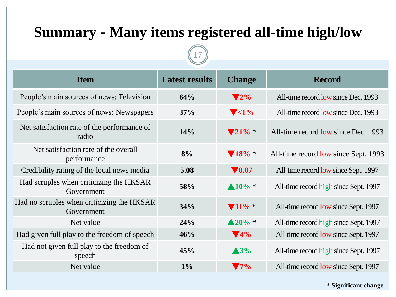### **Summary - Many items registered all-time high/low**

17

| <b>Item</b>                                              | <b>Latest results</b> | <b>Change</b>               | <b>Record</b>                         |
|----------------------------------------------------------|-----------------------|-----------------------------|---------------------------------------|
| People's main sources of news: Television                | 64%                   | $\blacktriangledown$ 2%     | All-time record low since Dec. 1993   |
| People's main sources of news: Newspapers                | 37%                   | $\blacktriangledown$ <1%    | All-time record low since Dec. 1993   |
| Net satisfaction rate of the performance of<br>radio     | 14%                   | $\blacktriangledown 21\%$ * | All-time record low since Dec. 1993   |
| Net satisfaction rate of the overall<br>performance      | 8%                    | $\blacktriangledown 18\% *$ | All-time record low since Sept. 1993  |
| Credibility rating of the local news media               | 5.08                  | $\nabla 0.07$               | All-time record low since Sept. 1997  |
| Had scruples when criticizing the HKSAR<br>Government    | 58%                   | $\triangle 10\%$ *          | All-time record high since Sept. 1997 |
| Had no scruples when criticizing the HKSAR<br>Government | 34%                   | $\blacktriangledown 11\%$ * | All-time record low since Sept. 1997  |
| Net value                                                | 24%                   | $\triangle 20\%$ *          | All-time record high since Sept. 1997 |
| Had given full play to the freedom of speech             | 46%                   | $\blacktriangledown$ 4%     | All-time record low since Sept. 1997  |
| Had not given full play to the freedom of<br>speech      | 45%                   | $\triangle 3\%$             | All-time record high since Sept. 1997 |
| Net value                                                | $1\%$                 | $\blacktriangledown$ 7%     | All-time record low since Sept. 1997  |

\* **Significant change**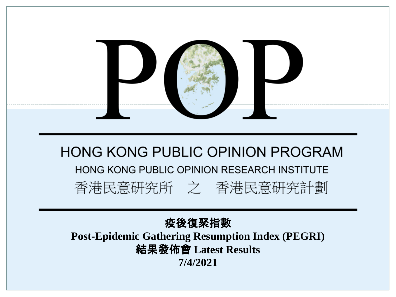

## **HONG KONG PUBLIC OPINION PROGRAM** HONG KONG PUBLIC OPINION RESEARCH INSTITUTE 香港民意研究所 之 香港民意研究計劃

疫後復聚指數 **Post-Epidemic Gathering Resumption Index (PEGRI)** 結果發佈會 **Latest Results 7/4/2021**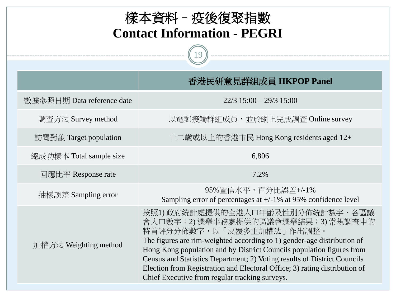| 樣本資料 - 疫後復聚指數<br><b>Contact Information - PEGRI</b> |                                                                                                                                                                                                                                                                                                                                                                                                                                                                 |  |  |  |
|-----------------------------------------------------|-----------------------------------------------------------------------------------------------------------------------------------------------------------------------------------------------------------------------------------------------------------------------------------------------------------------------------------------------------------------------------------------------------------------------------------------------------------------|--|--|--|
|                                                     | 香港民研意見群組成員 HKPOP Panel                                                                                                                                                                                                                                                                                                                                                                                                                                          |  |  |  |
| 數據參照日期 Data reference date                          | $22/3$ 15:00 - 29/3 15:00                                                                                                                                                                                                                                                                                                                                                                                                                                       |  |  |  |
| 調査方法 Survey method                                  | 以電郵接觸群組成員,並於網上完成調查 Online survey                                                                                                                                                                                                                                                                                                                                                                                                                                |  |  |  |
| 訪問對象 Target population                              | 十二歲或以上的香港市民 Hong Kong residents aged 12+                                                                                                                                                                                                                                                                                                                                                                                                                        |  |  |  |
| 總成功樣本 Total sample size                             | 6,806                                                                                                                                                                                                                                                                                                                                                                                                                                                           |  |  |  |
| 回應比率 Response rate                                  | 7.2%                                                                                                                                                                                                                                                                                                                                                                                                                                                            |  |  |  |
| 抽樣誤差 Sampling error                                 | 95%置信水平,百分比誤差+/-1%<br>Sampling error of percentages at $+/-1\%$ at 95% confidence level                                                                                                                                                                                                                                                                                                                                                                         |  |  |  |
| 加權方法 Weighting method                               | 按照1)政府統計處提供的全港人口年齡及性別分佈統計數字、各區議<br>會人口數字;2)選舉事務處提供的區議會選舉結果;3)常規調查中的<br>特首評分分佈數字,以「反覆多重加權法」作出調整。<br>The figures are rim-weighted according to 1) gender-age distribution of<br>Hong Kong population and by District Councils population figures from<br>Census and Statistics Department; 2) Voting results of District Councils<br>Election from Registration and Electoral Office; 3) rating distribution of<br>Chief Executive from regular tracking surveys. |  |  |  |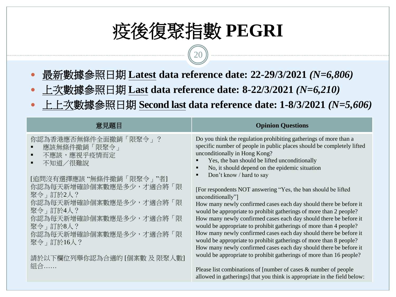# 疫後復聚指數 **PEGRI**

20

- 最新數據參照日期 **Latest data reference date: 22-29/3/2021** *(N=6,806)*
- 上次數據參照日期 **Last data reference date: 8-22/3/2021** *(N=6,210)*
- 上上次數據參照日期 **Second last data reference date: 1-8/3/2021** *(N=5,606)*

| 意見題目                                                                                                                                                                                                                 | <b>Opinion Questions</b>                                                                                                                                                                                                                                                                                                                                                                                                                                                                                                                                                                                                                                                                                       |
|----------------------------------------------------------------------------------------------------------------------------------------------------------------------------------------------------------------------|----------------------------------------------------------------------------------------------------------------------------------------------------------------------------------------------------------------------------------------------------------------------------------------------------------------------------------------------------------------------------------------------------------------------------------------------------------------------------------------------------------------------------------------------------------------------------------------------------------------------------------------------------------------------------------------------------------------|
| 你認為香港應否無條件全面撤銷「限聚令」?<br>應該無條件撤銷「限聚令」<br>不應該,應視乎疫情而定<br>不知道/很難說<br>[追問沒有選擇應該"無條件撤銷「限聚令」"者]<br>你認為每天新增確診個案數應是多少,才適合將「限<br>聚令 , 訂於2人?<br>你認為每天新增確診個案數應是多少,才適合將「限<br>聚令 , 訂於4人?<br>你認為每天新增確診個案數應是多少,才適合將「限<br>聚令 , 訂於8人? | Do you think the regulation prohibiting gatherings of more than a<br>specific number of people in public places should be completely lifted<br>unconditionally in Hong Kong?<br>Yes, the ban should be lifted unconditionally<br>No, it should depend on the epidemic situation<br>$\blacksquare$<br>Don't know / hard to say<br>п<br>[For respondents NOT answering "Yes, the ban should be lifted<br>unconditionally"]<br>How many newly confirmed cases each day should there be before it<br>would be appropriate to prohibit gatherings of more than 2 people?<br>How many newly confirmed cases each day should there be before it<br>would be appropriate to prohibit gatherings of more than 4 people? |
| 你認為每天新增確診個案數應是多少,才適合將「限<br>聚令」訂於16人?<br>請於以下欄位列舉你認為合適的 [個案數 及 限聚人數]<br>組合                                                                                                                                            | How many newly confirmed cases each day should there be before it<br>would be appropriate to prohibit gatherings of more than 8 people?<br>How many newly confirmed cases each day should there be before it<br>would be appropriate to prohibit gatherings of more than 16 people?<br>Please list combinations of [number of cases $\&$ number of people                                                                                                                                                                                                                                                                                                                                                      |
|                                                                                                                                                                                                                      | allowed in gatherings] that you think is appropriate in the field below:                                                                                                                                                                                                                                                                                                                                                                                                                                                                                                                                                                                                                                       |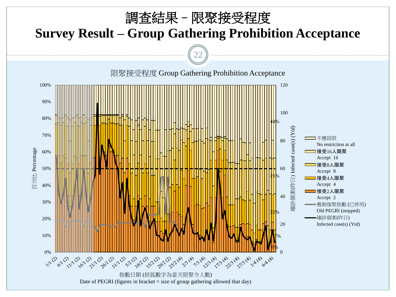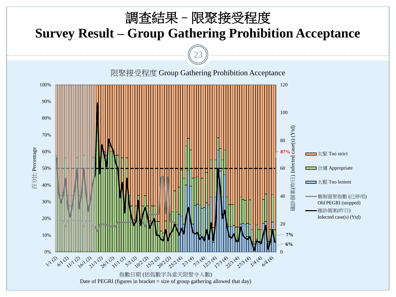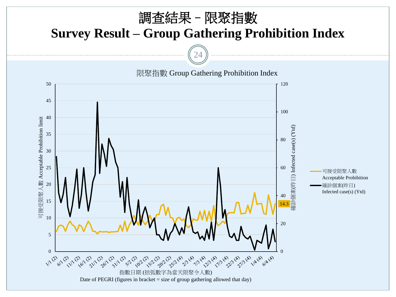